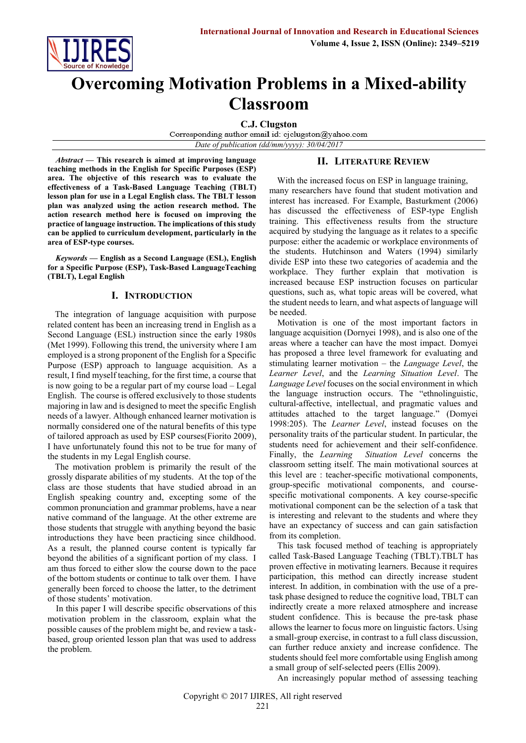

# **Overcoming Motivation Problems in a Mixed-ability Classroom**

**C.J. Clugston**<br>Corresponding author email id: cjclugston@yahoo.com

*Date of publication (dd/mm/yyyy): 30/04/2017*

*Abstract* **— This research is aimed at improving language teaching methods in the English for Specific Purposes (ESP) area. The objective of this research was to evaluate the effectiveness of a Task-Based Language Teaching (TBLT) lesson plan for use in a Legal English class. The TBLT lesson plan was analyzed using the action research method. The action research method here is focused on improving the practice of language instruction. The implications of this study can be applied to curriculum development, particularly in the area of ESP-type courses.**

*Keywords* **— English as a Second Language (ESL), English for a Specific Purpose (ESP), Task-Based LanguageTeaching (TBLT), Legal English**

#### **I. INTRODUCTION**

The integration of language acquisition with purpose related content has been an increasing trend in English as a Second Language (ESL) instruction since the early 1980s (Met 1999). Following this trend, the university where I am employed is a strong proponent of the English for a Specific Purpose (ESP) approach to language acquisition. As a result, I find myself teaching, for the first time, a course that is now going to be a regular part of my course load – Legal English. The course is offered exclusively to those students majoring in law and is designed to meet the specific English needs of a lawyer. Although enhanced learner motivation is normally considered one of the natural benefits of this type of tailored approach as used by ESP courses(Fiorito 2009), I have unfortunately found this not to be true for many of the students in my Legal English course.

The motivation problem is primarily the result of the grossly disparate abilities of my students. At the top of the class are those students that have studied abroad in an English speaking country and, excepting some of the common pronunciation and grammar problems, have a near native command of the language. At the other extreme are those students that struggle with anything beyond the basic introductions they have been practicing since childhood. As a result, the planned course content is typically far beyond the abilities of a significant portion of my class. I am thus forced to either slow the course down to the pace of the bottom students or continue to talk over them. I have generally been forced to choose the latter, to the detriment of those students' motivation.

In this paper I will describe specific observations of this motivation problem in the classroom, explain what the possible causes of the problem might be, and review a taskbased, group oriented lesson plan that was used to address the problem.

# **II. LITERATURE REVIEW**

With the increased focus on ESP in language training, many researchers have found that student motivation and interest has increased. For Example, Basturkment (2006) has discussed the effectiveness of ESP-type English training. This effectiveness results from the structure acquired by studying the language as it relates to a specific purpose: either the academic or workplace environments of the students. Hutchinson and Waters (1994) similarly divide ESP into these two categories of academia and the workplace. They further explain that motivation is increased because ESP instruction focuses on particular questions, such as, what topic areas will be covered, what the student needs to learn, and what aspects of language will be needed.

Motivation is one of the most important factors in language acquisition (Dornyei 1998), and is also one of the areas where a teacher can have the most impact. Domyei has proposed a three level framework for evaluating and stimulating learner motivation – the *Language Level*, the *Learner Level*, and the *Learning Situation Level*. The *Language Level* focuses on the social environment in which the language instruction occurs. The "ethnolinguistic, cultural-affective, intellectual, and pragmatic values and attitudes attached to the target language." (Domyei 1998:205). The *Learner Level*, instead focuses on the personality traits of the particular student. In particular, the students need for achievement and their self-confidence. Finally, the *Learning Situation Level* concerns the classroom setting itself. The main motivational sources at this level are : teacher-specific motivational components, group-specific motivational components, and coursespecific motivational components. A key course-specific motivational component can be the selection of a task that is interesting and relevant to the students and where they have an expectancy of success and can gain satisfaction from its completion.

This task focused method of teaching is appropriately called Task-Based Language Teaching (TBLT).TBLT has proven effective in motivating learners. Because it requires participation, this method can directly increase student interest. In addition, in combination with the use of a pretask phase designed to reduce the cognitive load, TBLT can indirectly create a more relaxed atmosphere and increase student confidence. This is because the pre-task phase allows the learner to focus more on linguistic factors. Using a small-group exercise, in contrast to a full class discussion, can further reduce anxiety and increase confidence. The students should feel more comfortable using English among a small group of self-selected peers (Ellis 2009).

An increasingly popular method of assessing teaching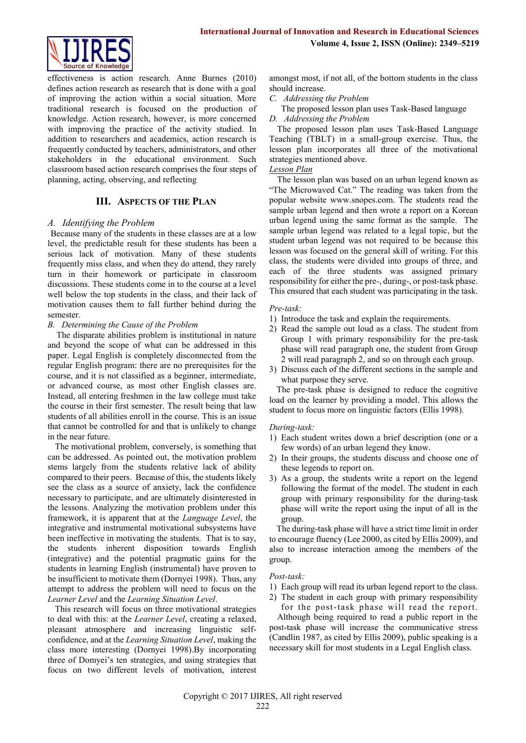

effectiveness is action research. Anne Burnes (2010) defines action research as research that is done with a goal of improving the action within a social situation. More traditional research is focused on the production of knowledge. Action research, however, is more concerned with improving the practice of the activity studied. In addition to researchers and academics, action research is frequently conducted by teachers, administrators, and other stakeholders in the educational environment. Such classroom based action research comprises the four steps of planning, acting, observing, and reflecting

# **III. ASPECTS OF THE PLAN**

#### *A. Identifying the Problem*

Because many of the students in these classes are at a low level, the predictable result for these students has been a serious lack of motivation. Many of these students frequently miss class, and when they do attend, they rarely turn in their homework or participate in classroom discussions. These students come in to the course at a level well below the top students in the class, and their lack of motivation causes them to fall further behind during the semester.

#### *B. Determining the Cause of the Problem*

The disparate abilities problem is institutional in nature and beyond the scope of what can be addressed in this paper. Legal English is completely disconnected from the regular English program: there are no prerequisites for the course, and it is not classified as a beginner, intermediate, or advanced course, as most other English classes are. Instead, all entering freshmen in the law college must take the course in their first semester. The result being that law students of all abilities enroll in the course. This is an issue that cannot be controlled for and that is unlikely to change in the near future.

The motivational problem, conversely, is something that can be addressed. As pointed out, the motivation problem stems largely from the students relative lack of ability compared to their peers. Because of this, the students likely see the class as a source of anxiety, lack the confidence necessary to participate, and are ultimately disinterested in the lessons. Analyzing the motivation problem under this framework, it is apparent that at the *Language Level*, the integrative and instrumental motivational subsystems have been ineffective in motivating the students. That is to say, the students inherent disposition towards English (integrative) and the potential pragmatic gains for the students in learning English (instrumental) have proven to be insufficient to motivate them (Dornyei 1998). Thus, any attempt to address the problem will need to focus on the *Learner Level* and the *Learning Situation Level*.

This research will focus on three motivational strategies to deal with this: at the *Learner Level*, creating a relaxed, pleasant atmosphere and increasing linguistic selfconfidence, and at the *Learning Situation Level*, making the class more interesting (Dornyei 1998).By incorporating three of Domyei's ten strategies, and using strategies that focus on two different levels of motivation, interest amongst most, if not all, of the bottom students in the class should increase.

- *C. Addressing the Problem*
- The proposed lesson plan uses Task-Based language
- *D. Addressing the Problem*

The proposed lesson plan uses Task-Based Language Teaching (TBLT) in a small-group exercise. Thus, the lesson plan incorporates all three of the motivational strategies mentioned above.

#### *Lesson Plan*

The lesson plan was based on an urban legend known as "The Microwaved Cat." The reading was taken from the popular website www.snopes.com. The students read the sample urban legend and then wrote a report on a Korean urban legend using the same format as the sample. The sample urban legend was related to a legal topic, but the student urban legend was not required to be because this lesson was focused on the general skill of writing. For this class, the students were divided into groups of three, and each of the three students was assigned primary responsibility for either the pre-, during-, or post-task phase. This ensured that each student was participating in the task.

#### *Pre-task:*

- 1) Introduce the task and explain the requirements.
- 2) Read the sample out loud as a class. The student from Group 1 with primary responsibility for the pre-task phase will read paragraph one, the student from Group 2 will read paragraph 2, and so on through each group.
- 3) Discuss each of the different sections in the sample and what purpose they serve.

The pre-task phase is designed to reduce the cognitive load on the learner by providing a model. This allows the student to focus more on linguistic factors (Ellis 1998).

#### *During-task:*

- 1) Each student writes down a brief description (one or a few words) of an urban legend they know.
- 2) In their groups, the students discuss and choose one of these legends to report on.
- 3) As a group, the students write a report on the legend following the format of the model. The student in each group with primary responsibility for the during-task phase will write the report using the input of all in the group.

The during-task phase will have a strict time limit in order to encourage fluency (Lee 2000, as cited by Ellis 2009), and also to increase interaction among the members of the group.

#### *Post-task:*

- 1) Each group will read its urban legend report to the class.
- 2) The student in each group with primary responsibility

for the post-task phase will read the report. Although being required to read a public report in the post-task phase will increase the communicative stress (Candlin 1987, as cited by Ellis 2009), public speaking is a necessary skill for most students in a Legal English class.